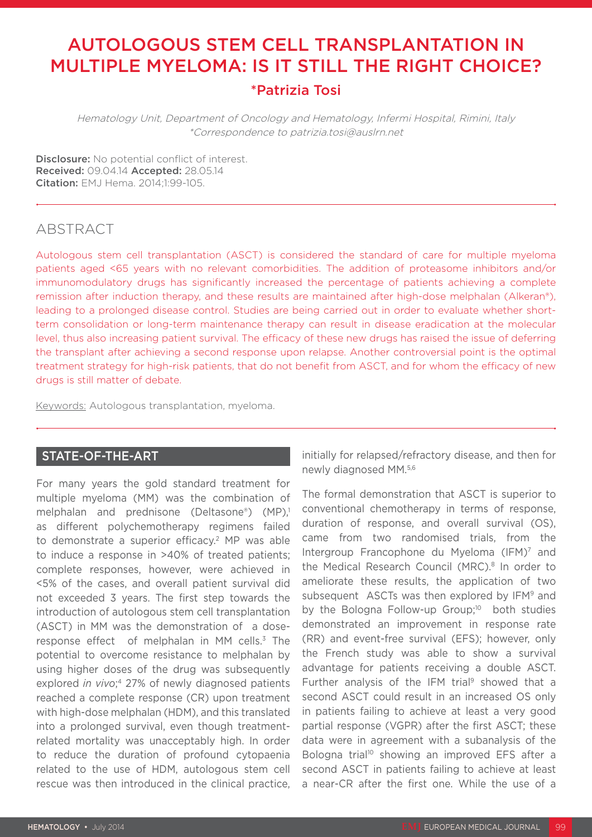# AUTOLOGOUS STEM CELL TRANSPLANTATION IN MULTIPLE MYELOMA: IS IT STILL THE RIGHT CHOICE? \*Patrizia Tosi

Hematology Unit, Department of Oncology and Hematology, Infermi Hospital, Rimini, Italy \*Correspondence to patrizia.tosi@auslrn.net

Disclosure: No potential conflict of interest. Received: 09.04.14 Accepted: 28.05.14 Citation: EMJ Hema. 2014;1:99-105.

# ABSTRACT

Autologous stem cell transplantation (ASCT) is considered the standard of care for multiple myeloma patients aged <65 years with no relevant comorbidities. The addition of proteasome inhibitors and/or immunomodulatory drugs has significantly increased the percentage of patients achieving a complete remission after induction therapy, and these results are maintained after high-dose melphalan (Alkeran®), leading to a prolonged disease control. Studies are being carried out in order to evaluate whether shortterm consolidation or long-term maintenance therapy can result in disease eradication at the molecular level, thus also increasing patient survival. The efficacy of these new drugs has raised the issue of deferring the transplant after achieving a second response upon relapse. Another controversial point is the optimal treatment strategy for high-risk patients, that do not benefit from ASCT, and for whom the efficacy of new drugs is still matter of debate.

Keywords: Autologous transplantation, myeloma.

# STATE-OF-THE-ART

For many years the gold standard treatment for multiple myeloma (MM) was the combination of melphalan and prednisone (Deltasone®) (MP).<sup>1</sup> as different polychemotherapy regimens failed to demonstrate a superior efficacy.<sup>2</sup> MP was able to induce a response in >40% of treated patients; complete responses, however, were achieved in <5% of the cases, and overall patient survival did not exceeded 3 years. The first step towards the introduction of autologous stem cell transplantation (ASCT) in MM was the demonstration of a doseresponse effect of melphalan in MM cells.<sup>3</sup> The potential to overcome resistance to melphalan by using higher doses of the drug was subsequently explored *in vivo*; 4 27% of newly diagnosed patients reached a complete response (CR) upon treatment with high-dose melphalan (HDM), and this translated into a prolonged survival, even though treatmentrelated mortality was unacceptably high. In order to reduce the duration of profound cytopaenia related to the use of HDM, autologous stem cell rescue was then introduced in the clinical practice,

initially for relapsed/refractory disease, and then for newly diagnosed MM.5,6

The formal demonstration that ASCT is superior to conventional chemotherapy in terms of response, duration of response, and overall survival (OS), came from two randomised trials, from the Intergroup Francophone du Myeloma (IFM)7 and the Medical Research Council (MRC).<sup>8</sup> In order to ameliorate these results, the application of two subsequent ASCTs was then explored by IFM<sup>9</sup> and by the Bologna Follow-up Group;<sup>10</sup> both studies demonstrated an improvement in response rate (RR) and event-free survival (EFS); however, only the French study was able to show a survival advantage for patients receiving a double ASCT. Further analysis of the IFM trial<sup>9</sup> showed that a second ASCT could result in an increased OS only in patients failing to achieve at least a very good partial response (VGPR) after the first ASCT; these data were in agreement with a subanalysis of the Bologna trial<sup>10</sup> showing an improved EFS after a second ASCT in patients failing to achieve at least a near-CR after the first one. While the use of a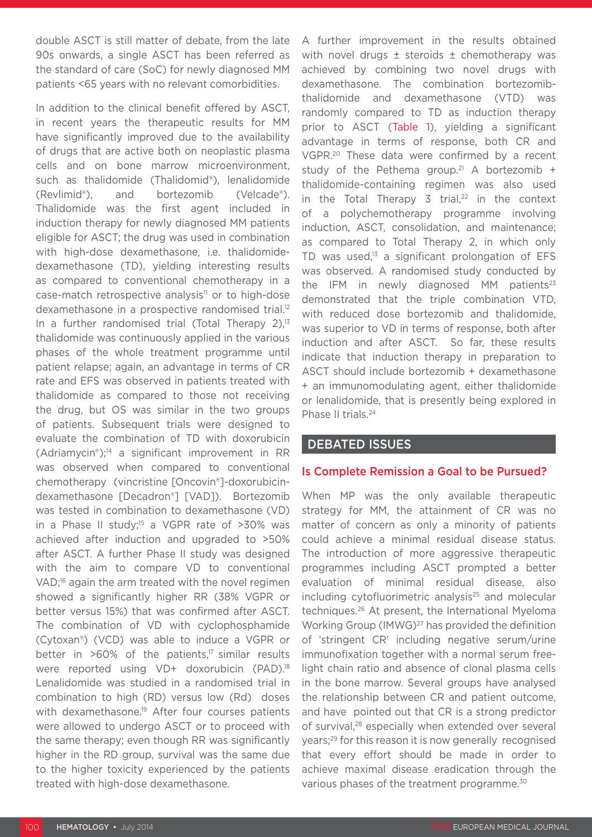double ASCT is still matter of debate, from the late 90s onwards, a single ASCT has been referred as the standard of care (SoC) for newly diagnosed MM patients <65 years with no relevant comorbidities.

In addition to the clinical benefit offered by ASCT, in recent years the therapeutic results for MM have significantly improved due to the availability of drugs that are active both on neoplastic plasma cells and on bone marrow microenvironment, such as thalidomide (Thalidomid®), lenalidomide (Revlimid®), and bortezomib (Velcade®). Thalidomide was the first agent included in induction therapy for newly diagnosed MM patients eligible for ASCT; the drug was used in combination with high-dose dexamethasone, i.e. thalidomidedexamethasone (TD), yielding interesting results as compared to conventional chemotherapy in a case-match retrospective analysis<sup>11</sup> or to high-dose dexamethasone in a prospective randomised trial.<sup>12</sup> In a further randomised trial (Total Therapy  $2$ ),<sup>13</sup> thalidomide was continuously applied in the various phases of the whole treatment programme until patient relapse; again, an advantage in terms of CR rate and EFS was observed in patients treated with thalidomide as compared to those not receiving the drug, but OS was similar in the two groups of patients. Subsequent trials were designed to evaluate the combination of TD with doxorubicin (Adriamycin®);14 a significant improvement in RR was observed when compared to conventional chemotherapy (vincristine [Oncovin®]-doxorubicindexamethasone [Decadron®] [VAD]). Bortezomib was tested in combination to dexamethasone (VD) in a Phase II study;<sup>15</sup> a VGPR rate of  $>30\%$  was achieved after induction and upgraded to >50% after ASCT. A further Phase II study was designed with the aim to compare VD to conventional VAD<sup>:16</sup> again the arm treated with the novel regimen showed a significantly higher RR (38% VGPR or better versus 15%) that was confirmed after ASCT. The combination of VD with cyclophosphamide (Cytoxan®) (VCD) was able to induce a VGPR or better in  $>60\%$  of the patients,<sup>17</sup> similar results were reported using VD+ doxorubicin (PAD).18 Lenalidomide was studied in a randomised trial in combination to high (RD) versus low (Rd) doses with dexamethasone.<sup>19</sup> After four courses patients were allowed to undergo ASCT or to proceed with the same therapy; even though RR was significantly higher in the RD group, survival was the same due to the higher toxicity experienced by the patients treated with high-dose dexamethasone.

A further improvement in the results obtained with novel drugs ± steroids ± chemotherapy was achieved by combining two novel drugs with dexamethasone. The combination bortezomibthalidomide and dexamethasone (VTD) was randomly compared to TD as induction therapy prior to ASCT (Table 1), yielding a significant advantage in terms of response, both CR and VGPR.20 These data were confirmed by a recent study of the Pethema group.<sup>21</sup> A bortezomib  $+$ thalidomide-containing regimen was also used in the Total Therapy 3 trial, $22$  in the context of a polychemotherapy programme involving induction, ASCT, consolidation, and maintenance; as compared to Total Therapy 2, in which only TD was used, $13$  a significant prolongation of EFS was observed. A randomised study conducted by the IFM in newly diagnosed MM patients $23$ demonstrated that the triple combination VTD, with reduced dose bortezomib and thalidomide, was superior to VD in terms of response, both after induction and after ASCT. So far, these results indicate that induction therapy in preparation to ASCT should include bortezomib + dexamethasone + an immunomodulating agent, either thalidomide or lenalidomide, that is presently being explored in Phase II trials.<sup>24</sup>

#### DEBATED ISSUES

#### Is Complete Remission a Goal to be Pursued?

When MP was the only available therapeutic strategy for MM, the attainment of CR was no matter of concern as only a minority of patients could achieve a minimal residual disease status. The introduction of more aggressive therapeutic programmes including ASCT prompted a better evaluation of minimal residual disease, also including cytofluorimetric analysis<sup>25</sup> and molecular techniques.26 At present, the International Myeloma Working Group (IMWG)<sup>27</sup> has provided the definition of 'stringent CR' including negative serum/urine immunofixation together with a normal serum freelight chain ratio and absence of clonal plasma cells in the bone marrow. Several groups have analysed the relationship between CR and patient outcome, and have pointed out that CR is a strong predictor of survival,<sup>28</sup> especially when extended over several years;29 for this reason it is now generally recognised that every effort should be made in order to achieve maximal disease eradication through the various phases of the treatment programme.<sup>30</sup>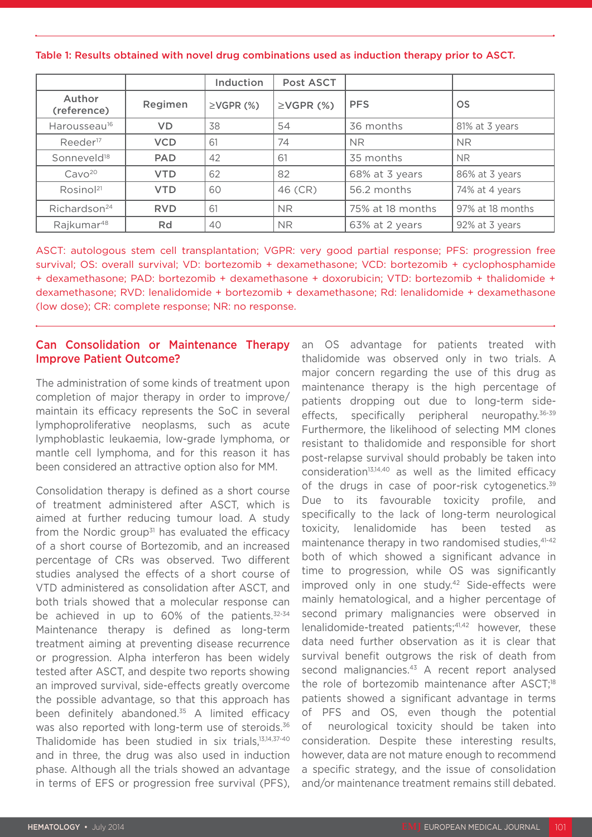Table 1: Results obtained with novel drug combinations used as induction therapy prior to ASCT.

|                          |            | Induction       | <b>Post ASCT</b> |                  |                  |
|--------------------------|------------|-----------------|------------------|------------------|------------------|
| Author<br>(reference)    | Regimen    | $\geq$ VGPR (%) | $\geq$ VGPR (%)  | <b>PFS</b>       | <b>OS</b>        |
| Harousseau <sup>16</sup> | <b>VD</b>  | 38              | 54               | 36 months        | 81% at 3 years   |
| Reeder <sup>17</sup>     | <b>VCD</b> | 61              | 74               | <b>NR</b>        | <b>NR</b>        |
| Sonneveld <sup>18</sup>  | <b>PAD</b> | 42              | 61               | 35 months        | <b>NR</b>        |
| Cavo <sup>20</sup>       | <b>VTD</b> | 62              | 82               | 68% at 3 years   | 86% at 3 years   |
| Rosinol <sup>21</sup>    | <b>VTD</b> | 60              | 46 (CR)          | 56.2 months      | 74% at 4 years   |
| Richardson <sup>24</sup> | <b>RVD</b> | 61              | <b>NR</b>        | 75% at 18 months | 97% at 18 months |
| Rajkumar <sup>48</sup>   | Rd         | 40              | NR.              | 63% at 2 years   | 92% at 3 years   |

ASCT: autologous stem cell transplantation; VGPR: very good partial response; PFS: progression free survival; OS: overall survival; VD: bortezomib + dexamethasone; VCD: bortezomib + cyclophosphamide + dexamethasone; PAD: bortezomib + dexamethasone + doxorubicin; VTD: bortezomib + thalidomide + dexamethasone; RVD: lenalidomide + bortezomib + dexamethasone; Rd: lenalidomide + dexamethasone (low dose); CR: complete response; NR: no response.

#### Can Consolidation or Maintenance Therapy Improve Patient Outcome?

The administration of some kinds of treatment upon completion of major therapy in order to improve/ maintain its efficacy represents the SoC in several lymphoproliferative neoplasms, such as acute lymphoblastic leukaemia, low-grade lymphoma, or mantle cell lymphoma, and for this reason it has been considered an attractive option also for MM.

Consolidation therapy is defined as a short course of treatment administered after ASCT, which is aimed at further reducing tumour load. A study from the Nordic group<sup>31</sup> has evaluated the efficacy of a short course of Bortezomib, and an increased percentage of CRs was observed. Two different studies analysed the effects of a short course of VTD administered as consolidation after ASCT, and both trials showed that a molecular response can be achieved in up to 60% of the patients.<sup>32-34</sup> Maintenance therapy is defined as long-term treatment aiming at preventing disease recurrence or progression. Alpha interferon has been widely tested after ASCT, and despite two reports showing an improved survival, side-effects greatly overcome the possible advantage, so that this approach has been definitely abandoned.35 A limited efficacy was also reported with long-term use of steroids.<sup>36</sup> Thalidomide has been studied in six trials,13,14,37-40 and in three, the drug was also used in induction phase. Although all the trials showed an advantage in terms of EFS or progression free survival (PFS),

an OS advantage for patients treated with thalidomide was observed only in two trials. A major concern regarding the use of this drug as maintenance therapy is the high percentage of patients dropping out due to long-term sideeffects, specifically peripheral neuropathy.36-39 Furthermore, the likelihood of selecting MM clones resistant to thalidomide and responsible for short post-relapse survival should probably be taken into consideration<sup>13,14,40</sup> as well as the limited efficacy of the drugs in case of poor-risk cytogenetics.<sup>39</sup> Due to its favourable toxicity profile, and specifically to the lack of long-term neurological toxicity, lenalidomide has been tested as maintenance therapy in two randomised studies, 41-42 both of which showed a significant advance in time to progression, while OS was significantly improved only in one study.42 Side-effects were mainly hematological, and a higher percentage of second primary malignancies were observed in lenalidomide-treated patients;<sup>41,42</sup> however, these data need further observation as it is clear that survival benefit outgrows the risk of death from second malignancies.<sup>43</sup> A recent report analysed the role of bortezomib maintenance after ASCT;<sup>18</sup> patients showed a significant advantage in terms of PFS and OS, even though the potential of neurological toxicity should be taken into consideration. Despite these interesting results, however, data are not mature enough to recommend a specific strategy, and the issue of consolidation and/or maintenance treatment remains still debated.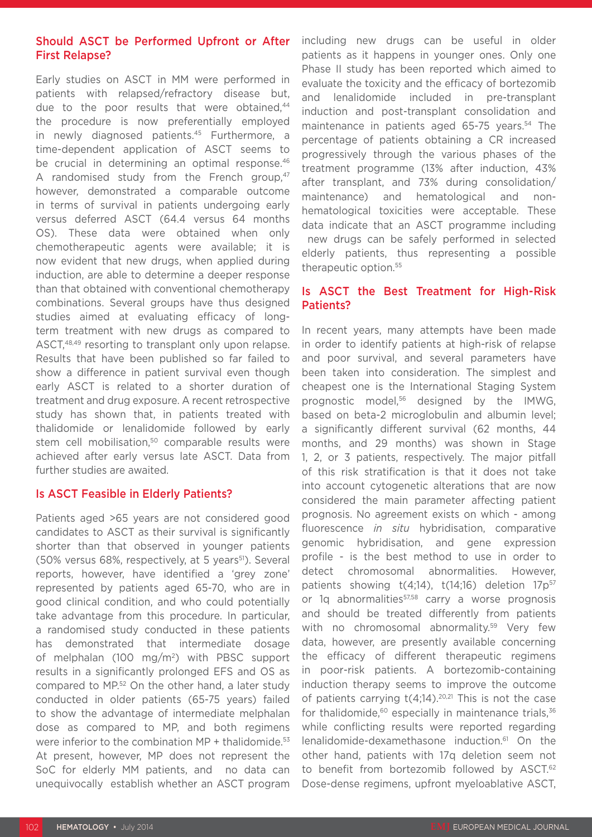## Should ASCT be Performed Upfront or After First Relapse?

Early studies on ASCT in MM were performed in patients with relapsed/refractory disease but, due to the poor results that were obtained,<sup>44</sup> the procedure is now preferentially employed in newly diagnosed patients.45 Furthermore, a time-dependent application of ASCT seems to be crucial in determining an optimal response.<sup>46</sup> A randomised study from the French group, $47$ however, demonstrated a comparable outcome in terms of survival in patients undergoing early versus deferred ASCT (64.4 versus 64 months OS). These data were obtained when only chemotherapeutic agents were available; it is now evident that new drugs, when applied during induction, are able to determine a deeper response than that obtained with conventional chemotherapy combinations. Several groups have thus designed studies aimed at evaluating efficacy of longterm treatment with new drugs as compared to ASCT,<sup>48,49</sup> resorting to transplant only upon relapse. Results that have been published so far failed to show a difference in patient survival even though early ASCT is related to a shorter duration of treatment and drug exposure. A recent retrospective study has shown that, in patients treated with thalidomide or lenalidomide followed by early stem cell mobilisation,<sup>50</sup> comparable results were achieved after early versus late ASCT. Data from further studies are awaited.

## Is ASCT Feasible in Elderly Patients?

Patients aged >65 years are not considered good candidates to ASCT as their survival is significantly shorter than that observed in younger patients (50% versus 68%, respectively, at 5 years<sup>51</sup>). Several reports, however, have identified a 'grey zone' represented by patients aged 65-70, who are in good clinical condition, and who could potentially take advantage from this procedure. In particular, a randomised study conducted in these patients has demonstrated that intermediate dosage of melphalan (100 mg/m2) with PBSC support results in a significantly prolonged EFS and OS as compared to MP.52 On the other hand, a later study conducted in older patients (65-75 years) failed to show the advantage of intermediate melphalan dose as compared to MP, and both regimens were inferior to the combination  $MP + thalidomide.53$ At present, however, MP does not represent the SoC for elderly MM patients, and no data can unequivocally establish whether an ASCT program

including new drugs can be useful in older patients as it happens in younger ones. Only one Phase II study has been reported which aimed to evaluate the toxicity and the efficacy of bortezomib and lenalidomide included in pre-transplant induction and post-transplant consolidation and maintenance in patients aged 65-75 years.<sup>54</sup> The percentage of patients obtaining a CR increased progressively through the various phases of the treatment programme (13% after induction, 43% after transplant, and 73% during consolidation/ maintenance) and hematological and nonhematological toxicities were acceptable. These data indicate that an ASCT programme including new drugs can be safely performed in selected elderly patients, thus representing a possible therapeutic option.<sup>55</sup>

## Is ASCT the Best Treatment for High-Risk Patients?

In recent years, many attempts have been made in order to identify patients at high-risk of relapse and poor survival, and several parameters have been taken into consideration. The simplest and cheapest one is the International Staging System prognostic model,56 designed by the IMWG, based on beta-2 microglobulin and albumin level; a significantly different survival (62 months, 44 months, and 29 months) was shown in Stage 1, 2, or 3 patients, respectively. The major pitfall of this risk stratification is that it does not take into account cytogenetic alterations that are now considered the main parameter affecting patient prognosis. No agreement exists on which - among fluorescence *in situ* hybridisation, comparative genomic hybridisation, and gene expression profile - is the best method to use in order to detect chromosomal abnormalities. However, patients showing  $t(4;14)$ ,  $t(14;16)$  deletion  $17p^{57}$ or 1q abnormalities<sup>57,58</sup> carry a worse prognosis and should be treated differently from patients with no chromosomal abnormality.<sup>59</sup> Very few data, however, are presently available concerning the efficacy of different therapeutic regimens in poor-risk patients. A bortezomib-containing induction therapy seems to improve the outcome of patients carrying  $t(4;14).^{20,21}$  This is not the case for thalidomide, $60$  especially in maintenance trials, $36$ while conflicting results were reported regarding lenalidomide-dexamethasone induction.61 On the other hand, patients with 17q deletion seem not to benefit from bortezomib followed by ASCT.<sup>62</sup> Dose-dense regimens, upfront myeloablative ASCT,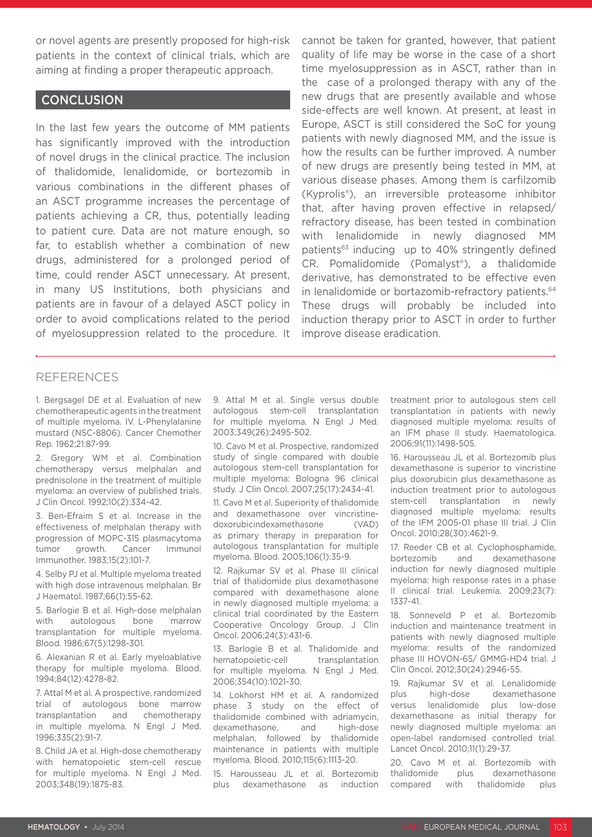or novel agents are presently proposed for high-risk patients in the context of clinical trials, which are aiming at finding a proper therapeutic approach.

#### **CONCLUSION**

In the last few years the outcome of MM patients has significantly improved with the introduction of novel drugs in the clinical practice. The inclusion of thalidomide, lenalidomide, or bortezomib in various combinations in the different phases of an ASCT programme increases the percentage of patients achieving a CR, thus, potentially leading to patient cure. Data are not mature enough, so far, to establish whether a combination of new drugs, administered for a prolonged period of time, could render ASCT unnecessary. At present, in many US Institutions, both physicians and patients are in favour of a delayed ASCT policy in order to avoid complications related to the period of myelosuppression related to the procedure. It cannot be taken for granted, however, that patient quality of life may be worse in the case of a short time myelosuppression as in ASCT, rather than in the case of a prolonged therapy with any of the new drugs that are presently available and whose side-effects are well known. At present, at least in Europe, ASCT is still considered the SoC for young patients with newly diagnosed MM, and the issue is how the results can be further improved. A number of new drugs are presently being tested in MM, at various disease phases. Among them is carfilzomib (Kyprolis®), an irreversible proteasome inhibitor that, after having proven effective in relapsed/ refractory disease, has been tested in combination with lenalidomide in newly diagnosed MM patients<sup>63</sup> inducing up to 40% stringently defined CR. Pomalidomide (Pomalyst®), a thalidomide derivative, has demonstrated to be effective even in lenalidomide or bortazomib-refractory patients.<sup>64</sup> These drugs will probably be included into induction therapy prior to ASCT in order to further improve disease eradication.

#### REFERENCES

1. Bergsagel DE et al. Evaluation of new chemotherapeutic agents in the treatment of multiple myeloma. IV. L-Phenylalanine mustard (NSC-8806). Cancer Chemother Rep. 1962;21:87-99.

2. Gregory WM et al. Combination chemotherapy versus melphalan and prednisolone in the treatment of multiple myeloma: an overview of published trials. J Clin Oncol. 1992;10(2):334-42.

3. Ben-Efraim S et al. Increase in the effectiveness of melphalan therapy with progression of MOPC-315 plasmacytoma tumor growth. Cancer Immunol Immunother. 1983;15(2):101-7.

4. Selby PJ et al. Multiple myeloma treated with high dose intravenous melphalan. Br J Haematol. 1987;66(1):55-62.

5. Barlogie B et al. High-dose melphalan with autologous bone marrow transplantation for multiple myeloma. Blood. 1986;67(5):1298-301.

6. Alexanian R et al. Early myeloablative therapy for multiple myeloma. Blood. 1994;84(12):4278-82.

7. Attal M et al. A prospective, randomized trial of autologous bone marrow transplantation and chemotherapy in multiple myeloma. N Engl J Med. 1996;335(2):91-7.

8. Child JA et al. High-dose chemotherapy with hematopoietic stem-cell rescue for multiple myeloma. N Engl J Med. 2003;348(19):1875-83.

9. Attal M et al. Single versus double autologous stem-cell transplantation for multiple myeloma. N Engl J Med. 2003;349(26):2495-502.

10. Cavo M et al. Prospective, randomized study of single compared with double autologous stem-cell transplantation for multiple myeloma: Bologna 96 clinical study. J Clin Oncol. 2007;25(17):2434-41.

11. Cavo M et al. Superiority of thalidomide and dexamethasone over vincristinedoxorubicindexamethasone (VAD) as primary therapy in preparation for autologous transplantation for multiple myeloma. Blood. 2005;106(1):35-9.

12. Rajkumar SV et al. Phase III clinical trial of thalidomide plus dexamethasone compared with dexamethasone alone in newly diagnosed multiple myeloma: a clinical trial coordinated by the Eastern Cooperative Oncology Group. J Clin Oncol. 2006;24(3):431-6.

13. Barlogie B et al. Thalidomide and hematopoietic-cell transplantation for multiple myeloma. N Engl J Med. 2006;354(10):1021-30.

14. Lokhorst HM et al. A randomized phase 3 study on the effect of thalidomide combined with adriamycin, dexamethasone, and high-dose melphalan, followed by thalidomide maintenance in patients with multiple myeloma. Blood. 2010;115(6):1113-20.

15. Harousseau JL et al. Bortezomib plus dexamethasone as induction

treatment prior to autologous stem cell transplantation in patients with newly diagnosed multiple myeloma: results of an IFM phase II study. Haematologica. 2006;91(11):1498-505.

16. Harousseau JL et al. Bortezomib plus dexamethasone is superior to vincristine plus doxorubicin plus dexamethasone as induction treatment prior to autologous stem-cell transplantation in newly diagnosed multiple myeloma: results of the IFM 2005-01 phase III trial. J Clin Oncol. 2010;28(30):4621-9.

17. Reeder CB et al. Cyclophosphamide, bortezomib and dexamethasone induction for newly diagnosed multiple myeloma: high response rates in a phase II clinical trial. Leukemia. 2009;23(7): 1337-41.

18. Sonneveld P et al. Bortezomib induction and maintenance treatment in patients with newly diagnosed multiple myeloma: results of the randomized phase III HOVON-65/ GMMG-HD4 trial. J Clin Oncol. 2012;30(24):2946-55.

19. Rajkumar SV et al. Lenalidomide plus high-dose dexamethasone versus lenalidomide plus low-dose dexamethasone as initial therapy for newly diagnosed multiple myeloma: an open-label randomised controlled trial. Lancet Oncol. 2010;11(1):29-37.

20. Cavo M et al. Bortezomib with thalidomide plus dexamethasone compared with thalidomide plus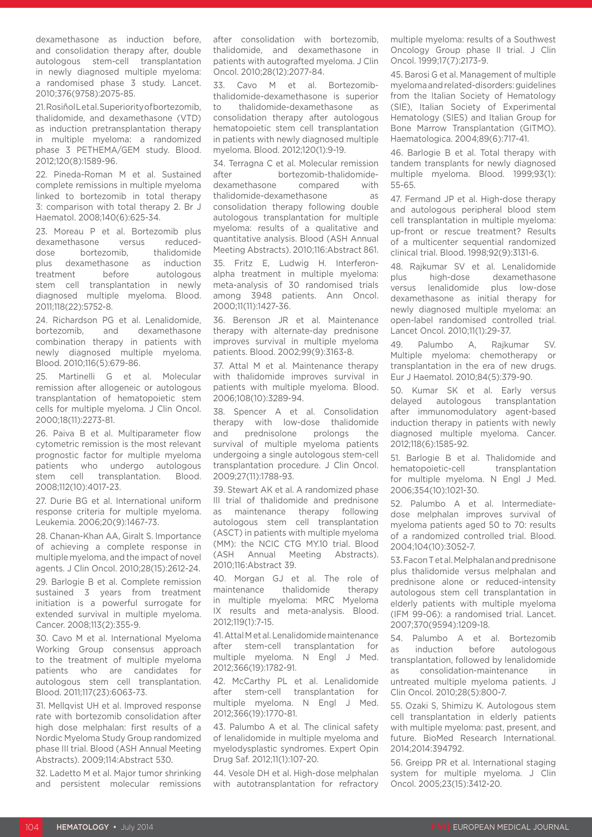dexamethasone as induction before, and consolidation therapy after, double autologous stem-cell transplantation in newly diagnosed multiple myeloma: a randomised phase 3 study. Lancet. 2010;376(9758):2075-85.

21. Rosiñol Letal. Superiority of bortezomib, thalidomide, and dexamethasone (VTD) as induction pretransplantation therapy in multiple myeloma: a randomized phase 3 PETHEMA/GEM study. Blood. 2012;120(8):1589-96.

22. Pineda-Roman M et al. Sustained complete remissions in multiple myeloma linked to bortezomib in total therapy 3: comparison with total therapy 2. Br J Haematol. 2008;140(6):625-34.

23. Moreau P et al. Bortezomib plus dexamethasone versus reduceddose bortezomib, thalidomide plus dexamethasone as induction treatment before autologous stem cell transplantation in newly diagnosed multiple myeloma. Blood. 2011;118(22):5752-8.

24. Richardson PG et al. Lenalidomide, bortezomib, and dexamethasone combination therapy in patients with newly diagnosed multiple myeloma. Blood. 2010;116(5):679-86.

25. Martinelli G et al. Molecular remission after allogeneic or autologous transplantation of hematopoietic stem cells for multiple myeloma. J Clin Oncol. 2000;18(11):2273-81.

26. Paiva B et al. Multiparameter flow cytometric remission is the most relevant prognostic factor for multiple myeloma patients who undergo autologous stem cell transplantation. Blood. 2008;112(10):4017-23.

27. Durie BG et al. International uniform response criteria for multiple myeloma. Leukemia. 2006;20(9):1467-73.

28. Chanan-Khan AA, Giralt S. Importance of achieving a complete response in multiple myeloma, and the impact of novel agents. J Clin Oncol. 2010;28(15):2612-24.

29. Barlogie B et al. Complete remission sustained 3 years from treatment initiation is a powerful surrogate for extended survival in multiple myeloma. Cancer. 2008;113(2):355-9.

30. Cavo M et al. International Myeloma Working Group consensus approach to the treatment of multiple myeloma patients who are candidates for autologous stem cell transplantation. Blood. 2011;117(23):6063-73.

31. Mellqvist UH et al. Improved response rate with bortezomib consolidation after high dose melphalan: first results of a Nordic Myeloma Study Group randomized phase III trial. Blood (ASH Annual Meeting Abstracts). 2009;114:Abstract 530.

32. Ladetto M et al. Major tumor shrinking and persistent molecular remissions after consolidation with bortezomib, thalidomide, and dexamethasone in patients with autografted myeloma. J Clin Oncol. 2010;28(12):2077-84.

33. Cavo M et al. Bortezomibthalidomide-dexamethasone is superior to thalidomide-dexamethasone as consolidation therapy after autologous hematopoietic stem cell transplantation in patients with newly diagnosed multiple myeloma. Blood. 2012;120(1):9-19.

34. Terragna C et al. Molecular remission<br>after bortezomib-thalidomideafter bortezomib-thalidomidedexamethasone compared with thalidomide-dexamethasone as consolidation therapy following double autologous transplantation for multiple myeloma: results of a qualitative and quantitative analysis. Blood (ASH Annual Meeting Abstracts). 2010;116:Abstract 861.

35. Fritz E, Ludwig H. Interferonalpha treatment in multiple myeloma: meta-analysis of 30 randomised trials among 3948 patients. Ann Oncol. 2000;11(11):1427-36.

36. Berenson JR et al. Maintenance therapy with alternate-day prednisone improves survival in multiple myeloma patients. Blood. 2002;99(9):3163-8.

37. Attal M et al. Maintenance therapy with thalidomide improves survival in patients with multiple myeloma. Blood. 2006;108(10):3289-94.

38. Spencer A et al. Consolidation therapy with low-dose thalidomide and prednisolone prolongs the survival of multiple myeloma patients undergoing a single autologous stem-cell transplantation procedure. J Clin Oncol. 2009;27(11):1788-93.

39. Stewart AK et al. A randomized phase III trial of thalidomide and prednisone as maintenance therapy following autologous stem cell transplantation (ASCT) in patients with multiple myeloma (MM): the NCIC CTG MY.10 trial. Blood (ASH Annual Meeting Abstracts). 2010;116:Abstract 39.

40. Morgan GJ et al. The role of maintenance thalidomide therapy in multiple myeloma: MRC Myeloma IX results and meta-analysis. Blood. 2012;119(1):7-15.

41. Attal M et al. Lenalidomide maintenance after stem-cell transplantation for multiple myeloma. N Engl J Med. 2012;366(19):1782-91.

42. McCarthy PL et al. Lenalidomide after stem-cell transplantation for multiple myeloma. N Engl J Med. 2012;366(19):1770-81.

43. Palumbo A et al. The clinical safety of lenalidomide in multiple myeloma and myelodysplastic syndromes. Expert Opin Drug Saf. 2012;11(1):107-20.

44. Vesole DH et al. High-dose melphalan with autotransplantation for refractory

multiple myeloma: results of a Southwest Oncology Group phase II trial. J Clin Oncol. 1999;17(7):2173-9.

45. Barosi G et al. Management of multiple myeloma and related-disorders: guidelines from the Italian Society of Hematology (SIE), Italian Society of Experimental Hematology (SIES) and Italian Group for Bone Marrow Transplantation (GITMO). Haematologica. 2004;89(6):717-41.

46. Barlogie B et al. Total therapy with tandem transplants for newly diagnosed multiple myeloma. Blood. 1999;93(1): 55-65.

47. Fermand JP et al. High-dose therapy and autologous peripheral blood stem cell transplantation in multiple myeloma: up-front or rescue treatment? Results of a multicenter sequential randomized clinical trial. Blood. 1998;92(9):3131-6.

48. Rajkumar SV et al. Lenalidomide plus high-dose dexamethasone versus lenalidomide plus low-dose dexamethasone as initial therapy for newly diagnosed multiple myeloma: an open-label randomised controlled trial. Lancet Oncol. 2010;11(1):29-37.

49. Palumbo A, Rajkumar SV. Multiple myeloma: chemotherapy or transplantation in the era of new drugs. Eur J Haematol. 2010;84(5):379-90.

50. Kumar SK et al. Early versus delayed autologous transplantation after immunomodulatory agent-based induction therapy in patients with newly diagnosed multiple myeloma. Cancer. 2012;118(6):1585-92.

51. Barlogie B et al. Thalidomide and hematopoietic-cell transplantation for multiple myeloma. N Engl J Med. 2006;354(10):1021-30.

52. Palumbo A et al. Intermediatedose melphalan improves survival of myeloma patients aged 50 to 70: results of a randomized controlled trial. Blood. 2004;104(10):3052-7.

53. Facon T et al. Melphalan and prednisone plus thalidomide versus melphalan and prednisone alone or reduced-intensity autologous stem cell transplantation in elderly patients with multiple myeloma (IFM 99-06): a randomised trial. Lancet. 2007;370(9594):1209-18.

54. Palumbo A et al. Bortezomib as induction before autologous transplantation, followed by lenalidomide as consolidation-maintenance in untreated multiple myeloma patients. J Clin Oncol. 2010;28(5):800-7.

55. Ozaki S, Shimizu K. Autologous stem cell transplantation in elderly patients with multiple myeloma: past, present, and future. BioMed Research International. 2014;2014:394792.

56. Greipp PR et al. International staging system for multiple myeloma. J Clin Oncol. 2005;23(15):3412-20.